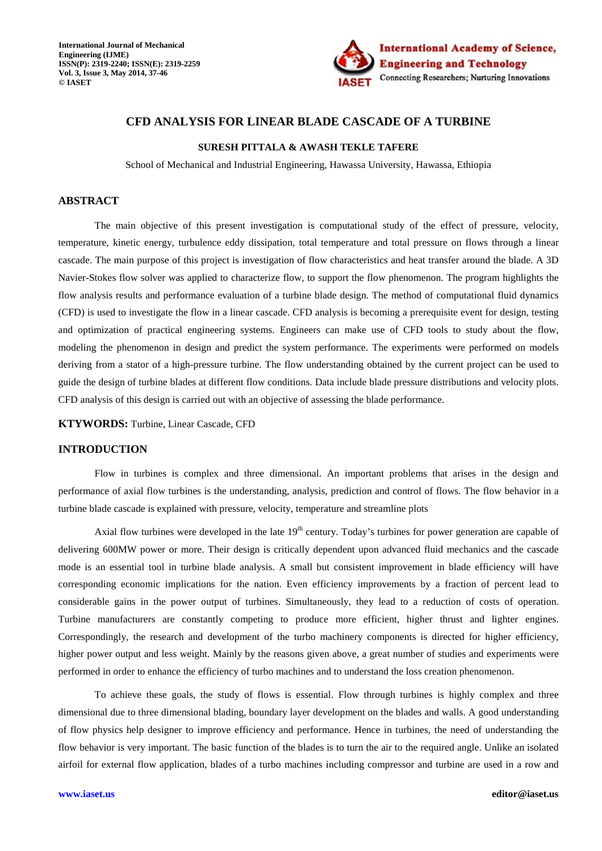

# **CFD ANALYSIS FOR LINEAR BLADE CASCADE OF A TURBINE**

# **SURESH PITTALA & AWASH TEKLE TAFERE**

School of Mechanical and Industrial Engineering, Hawassa University, Hawassa, Ethiopia

# **ABSTRACT**

The main objective of this present investigation is computational study of the effect of pressure, velocity, temperature, kinetic energy, turbulence eddy dissipation, total temperature and total pressure on flows through a linear cascade. The main purpose of this project is investigation of flow characteristics and heat transfer around the blade. A 3D Navier-Stokes flow solver was applied to characterize flow, to support the flow phenomenon. The program highlights the flow analysis results and performance evaluation of a turbine blade design. The method of computational fluid dynamics (CFD) is used to investigate the flow in a linear cascade. CFD analysis is becoming a prerequisite event for design, testing and optimization of practical engineering systems. Engineers can make use of CFD tools to study about the flow, modeling the phenomenon in design and predict the system performance. The experiments were performed on models deriving from a stator of a high-pressure turbine. The flow understanding obtained by the current project can be used to guide the design of turbine blades at different flow conditions. Data include blade pressure distributions and velocity plots. CFD analysis of this design is carried out with an objective of assessing the blade performance.

**KTYWORDS:** Turbine, Linear Cascade, CFD

# **INTRODUCTION**

Flow in turbines is complex and three dimensional. An important problems that arises in the design and performance of axial flow turbines is the understanding, analysis, prediction and control of flows. The flow behavior in a turbine blade cascade is explained with pressure, velocity, temperature and streamline plots

Axial flow turbines were developed in the late  $19<sup>th</sup>$  century. Today's turbines for power generation are capable of delivering 600MW power or more. Their design is critically dependent upon advanced fluid mechanics and the cascade mode is an essential tool in turbine blade analysis. A small but consistent improvement in blade efficiency will have corresponding economic implications for the nation. Even efficiency improvements by a fraction of percent lead to considerable gains in the power output of turbines. Simultaneously, they lead to a reduction of costs of operation. Turbine manufacturers are constantly competing to produce more efficient, higher thrust and lighter engines. Correspondingly, the research and development of the turbo machinery components is directed for higher efficiency, higher power output and less weight. Mainly by the reasons given above, a great number of studies and experiments were performed in order to enhance the efficiency of turbo machines and to understand the loss creation phenomenon.

To achieve these goals, the study of flows is essential. Flow through turbines is highly complex and three dimensional due to three dimensional blading, boundary layer development on the blades and walls. A good understanding of flow physics help designer to improve efficiency and performance. Hence in turbines, the need of understanding the flow behavior is very important. The basic function of the blades is to turn the air to the required angle. Unlike an isolated airfoil for external flow application, blades of a turbo machines including compressor and turbine are used in a row and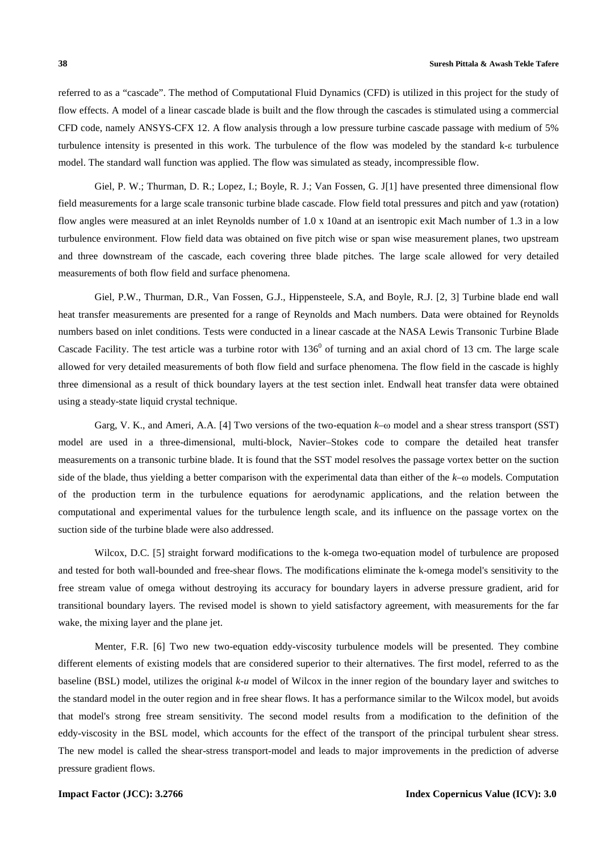referred to as a "cascade". The method of Computational Fluid Dynamics (CFD) is utilized in this project for the study of flow effects. A model of a linear cascade blade is built and the flow through the cascades is stimulated using a commercial CFD code, namely ANSYS-CFX 12. A flow analysis through a low pressure turbine cascade passage with medium of 5% turbulence intensity is presented in this work. The turbulence of the flow was modeled by the standard k-ε turbulence model. The standard wall function was applied. The flow was simulated as steady, incompressible flow.

Giel, P. W.; Thurman, D. R.; Lopez, I.; Boyle, R. J.; Van Fossen, G. J[1] have presented three dimensional flow field measurements for a large scale transonic turbine blade cascade. Flow field total pressures and pitch and yaw (rotation) flow angles were measured at an inlet Reynolds number of 1.0 x 10and at an isentropic exit Mach number of 1.3 in a low turbulence environment. Flow field data was obtained on five pitch wise or span wise measurement planes, two upstream and three downstream of the cascade, each covering three blade pitches. The large scale allowed for very detailed measurements of both flow field and surface phenomena.

Giel, P.W., Thurman, D.R., Van Fossen, G.J., Hippensteele, S.A, and Boyle, R.J. [2, 3] Turbine blade end wall heat transfer measurements are presented for a range of Reynolds and Mach numbers. Data were obtained for Reynolds numbers based on inlet conditions. Tests were conducted in a linear cascade at the NASA Lewis Transonic Turbine Blade Cascade Facility. The test article was a turbine rotor with  $136^0$  of turning and an axial chord of 13 cm. The large scale allowed for very detailed measurements of both flow field and surface phenomena. The flow field in the cascade is highly three dimensional as a result of thick boundary layers at the test section inlet. Endwall heat transfer data were obtained using a steady-state liquid crystal technique.

Garg, V. K., and Ameri, A.A. [4] Two versions of the two-equation *k*–ω model and a shear stress transport (SST) model are used in a three-dimensional, multi-block, Navier–Stokes code to compare the detailed heat transfer measurements on a transonic turbine blade. It is found that the SST model resolves the passage vortex better on the suction side of the blade, thus yielding a better comparison with the experimental data than either of the *k*–ω models. Computation of the production term in the turbulence equations for aerodynamic applications, and the relation between the computational and experimental values for the turbulence length scale, and its influence on the passage vortex on the suction side of the turbine blade were also addressed.

Wilcox, D.C. [5] straight forward modifications to the k-omega two-equation model of turbulence are proposed and tested for both wall-bounded and free-shear flows. The modifications eliminate the k-omega model's sensitivity to the free stream value of omega without destroying its accuracy for boundary layers in adverse pressure gradient, arid for transitional boundary layers. The revised model is shown to yield satisfactory agreement, with measurements for the far wake, the mixing layer and the plane jet.

Menter, F.R. [6] Two new two-equation eddy-viscosity turbulence models will be presented. They combine different elements of existing models that are considered superior to their alternatives. The first model, referred to as the baseline (BSL) model, utilizes the original *k-u* model of Wilcox in the inner region of the boundary layer and switches to the standard model in the outer region and in free shear flows. It has a performance similar to the Wilcox model, but avoids that model's strong free stream sensitivity. The second model results from a modification to the definition of the eddy-viscosity in the BSL model, which accounts for the effect of the transport of the principal turbulent shear stress. The new model is called the shear-stress transport-model and leads to major improvements in the prediction of adverse pressure gradient flows.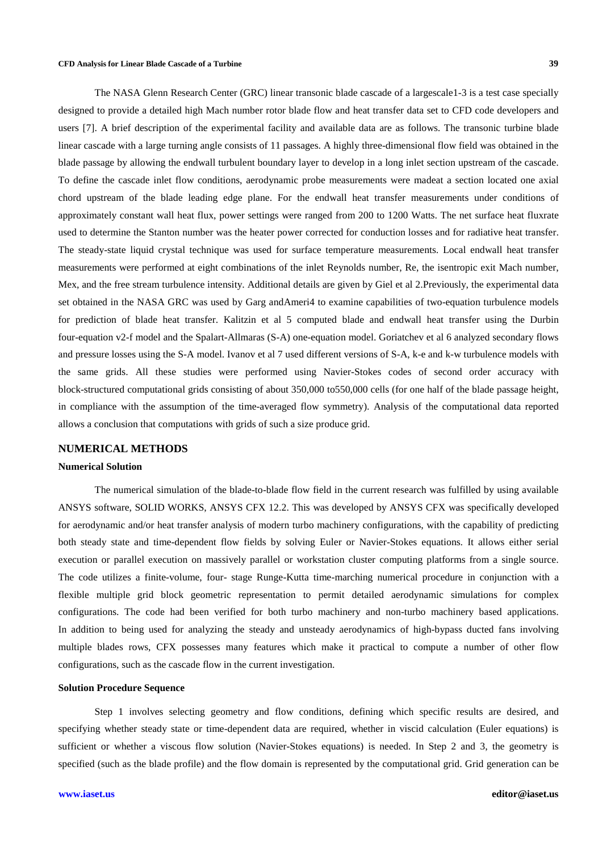The NASA Glenn Research Center (GRC) linear transonic blade cascade of a largescale1-3 is a test case specially designed to provide a detailed high Mach number rotor blade flow and heat transfer data set to CFD code developers and users [7]. A brief description of the experimental facility and available data are as follows. The transonic turbine blade linear cascade with a large turning angle consists of 11 passages. A highly three-dimensional flow field was obtained in the blade passage by allowing the endwall turbulent boundary layer to develop in a long inlet section upstream of the cascade. To define the cascade inlet flow conditions, aerodynamic probe measurements were madeat a section located one axial chord upstream of the blade leading edge plane. For the endwall heat transfer measurements under conditions of approximately constant wall heat flux, power settings were ranged from 200 to 1200 Watts. The net surface heat fluxrate used to determine the Stanton number was the heater power corrected for conduction losses and for radiative heat transfer. The steady-state liquid crystal technique was used for surface temperature measurements. Local endwall heat transfer measurements were performed at eight combinations of the inlet Reynolds number, Re, the isentropic exit Mach number, Mex, and the free stream turbulence intensity. Additional details are given by Giel et al 2.Previously, the experimental data set obtained in the NASA GRC was used by Garg andAmeri4 to examine capabilities of two-equation turbulence models for prediction of blade heat transfer. Kalitzin et al 5 computed blade and endwall heat transfer using the Durbin four-equation v2-f model and the Spalart-Allmaras (S-A) one-equation model. Goriatchev et al 6 analyzed secondary flows and pressure losses using the S-A model. Ivanov et al 7 used different versions of S-A, k-e and k-w turbulence models with the same grids. All these studies were performed using Navier-Stokes codes of second order accuracy with block-structured computational grids consisting of about 350,000 to550,000 cells (for one half of the blade passage height, in compliance with the assumption of the time-averaged flow symmetry). Analysis of the computational data reported allows a conclusion that computations with grids of such a size produce grid.

# **NUMERICAL METHODS**

#### **Numerical Solution**

The numerical simulation of the blade-to-blade flow field in the current research was fulfilled by using available ANSYS software, SOLID WORKS, ANSYS CFX 12.2. This was developed by ANSYS CFX was specifically developed for aerodynamic and/or heat transfer analysis of modern turbo machinery configurations, with the capability of predicting both steady state and time-dependent flow fields by solving Euler or Navier-Stokes equations. It allows either serial execution or parallel execution on massively parallel or workstation cluster computing platforms from a single source. The code utilizes a finite-volume, four- stage Runge-Kutta time-marching numerical procedure in conjunction with a flexible multiple grid block geometric representation to permit detailed aerodynamic simulations for complex configurations. The code had been verified for both turbo machinery and non-turbo machinery based applications. In addition to being used for analyzing the steady and unsteady aerodynamics of high-bypass ducted fans involving multiple blades rows, CFX possesses many features which make it practical to compute a number of other flow configurations, such as the cascade flow in the current investigation.

### **Solution Procedure Sequence**

Step 1 involves selecting geometry and flow conditions, defining which specific results are desired, and specifying whether steady state or time-dependent data are required, whether in viscid calculation (Euler equations) is sufficient or whether a viscous flow solution (Navier-Stokes equations) is needed. In Step 2 and 3, the geometry is specified (such as the blade profile) and the flow domain is represented by the computational grid. Grid generation can be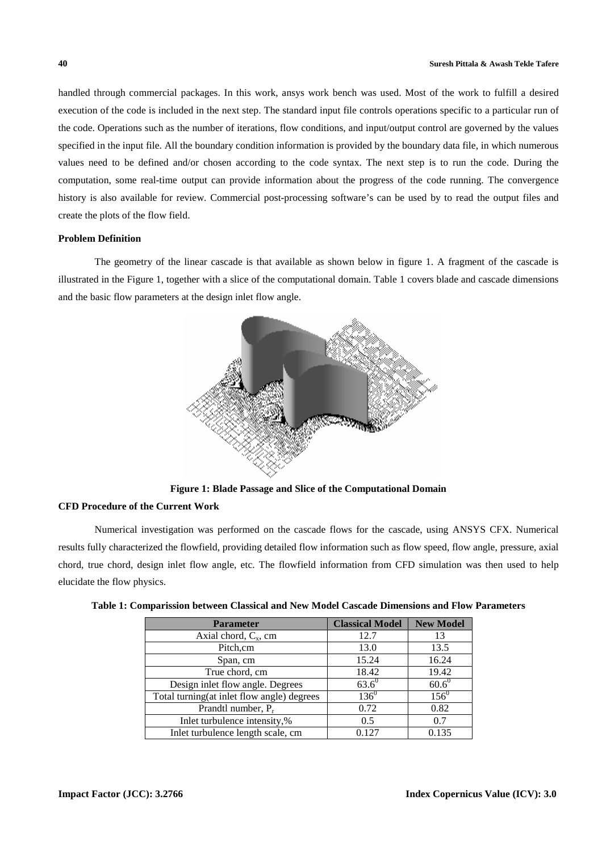handled through commercial packages. In this work, ansys work bench was used. Most of the work to fulfill a desired execution of the code is included in the next step. The standard input file controls operations specific to a particular run of the code. Operations such as the number of iterations, flow conditions, and input/output control are governed by the values specified in the input file. All the boundary condition information is provided by the boundary data file, in which numerous values need to be defined and/or chosen according to the code syntax. The next step is to run the code. During the computation, some real-time output can provide information about the progress of the code running. The convergence history is also available for review. Commercial post-processing software's can be used by to read the output files and create the plots of the flow field.

# **Problem Definition**

The geometry of the linear cascade is that available as shown below in figure 1. A fragment of the cascade is illustrated in the Figure 1, together with a slice of the computational domain. Table 1 covers blade and cascade dimensions and the basic flow parameters at the design inlet flow angle.



**Figure 1: Blade Passage and Slice of the Computational Domain** 

# **CFD Procedure of the Current Work**

Numerical investigation was performed on the cascade flows for the cascade, using ANSYS CFX. Numerical results fully characterized the flowfield, providing detailed flow information such as flow speed, flow angle, pressure, axial chord, true chord, design inlet flow angle, etc. The flowfield information from CFD simulation was then used to help elucidate the flow physics.

| <b>Parameter</b>                           | <b>Classical Model</b> | <b>New Model</b> |
|--------------------------------------------|------------------------|------------------|
| Axial chord, $C_x$ , cm                    | 12.7                   | 13               |
| Pitch, cm                                  | 13.0                   | 13.5             |
| Span, cm                                   | 15.24                  | 16.24            |
| True chord, cm                             | 18.42                  | 19.42            |
| Design inlet flow angle. Degrees           | $63.6^0$               | $60.6^0$         |
| Total turning(at inlet flow angle) degrees | $136^{0}$              | $156^0$          |
| Prandtl number, $P_r$                      | 0.72                   | 0.82             |
| Inlet turbulence intensity,%               | 0.5                    | 0.7              |
| Inlet turbulence length scale, cm          | 0.127                  | 0.135            |

|  | Table 1: Comparission between Classical and New Model Cascade Dimensions and Flow Parameters |  |  |  |  |
|--|----------------------------------------------------------------------------------------------|--|--|--|--|
|  |                                                                                              |  |  |  |  |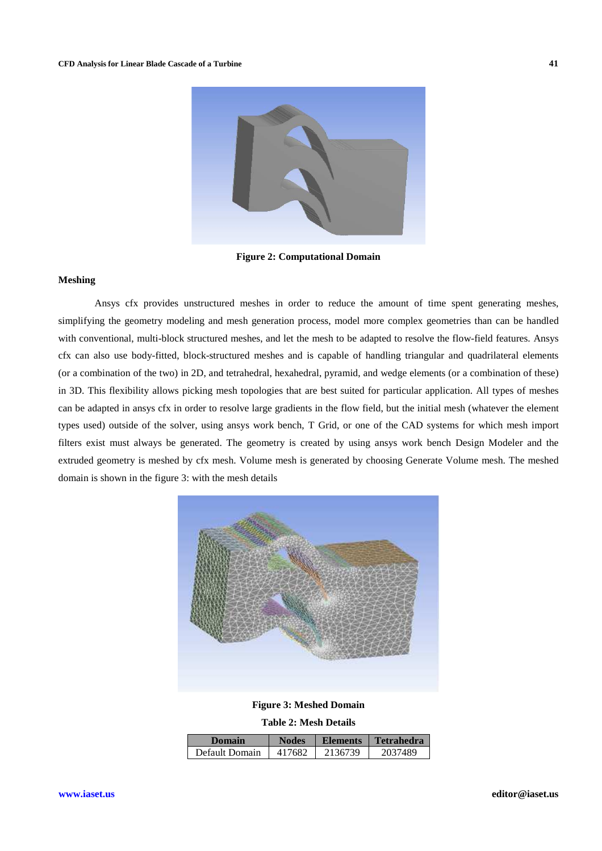

**Figure 2: Computational Domain** 

#### **Meshing**

Ansys cfx provides unstructured meshes in order to reduce the amount of time spent generating meshes, simplifying the geometry modeling and mesh generation process, model more complex geometries than can be handled with conventional, multi-block structured meshes, and let the mesh to be adapted to resolve the flow-field features. Ansys cfx can also use body-fitted, block-structured meshes and is capable of handling triangular and quadrilateral elements (or a combination of the two) in 2D, and tetrahedral, hexahedral, pyramid, and wedge elements (or a combination of these) in 3D. This flexibility allows picking mesh topologies that are best suited for particular application. All types of meshes can be adapted in ansys cfx in order to resolve large gradients in the flow field, but the initial mesh (whatever the element types used) outside of the solver, using ansys work bench, T Grid, or one of the CAD systems for which mesh import filters exist must always be generated. The geometry is created by using ansys work bench Design Modeler and the extruded geometry is meshed by cfx mesh. Volume mesh is generated by choosing Generate Volume mesh. The meshed domain is shown in the figure 3: with the mesh details



**Figure 3: Meshed Domain** 

**Table 2: Mesh Details** 

| Domain         | <b>Nodes</b> | <b>Elements</b> | l Tetrahedra |
|----------------|--------------|-----------------|--------------|
| Default Domain | 417682       | 2136739         | 2037489      |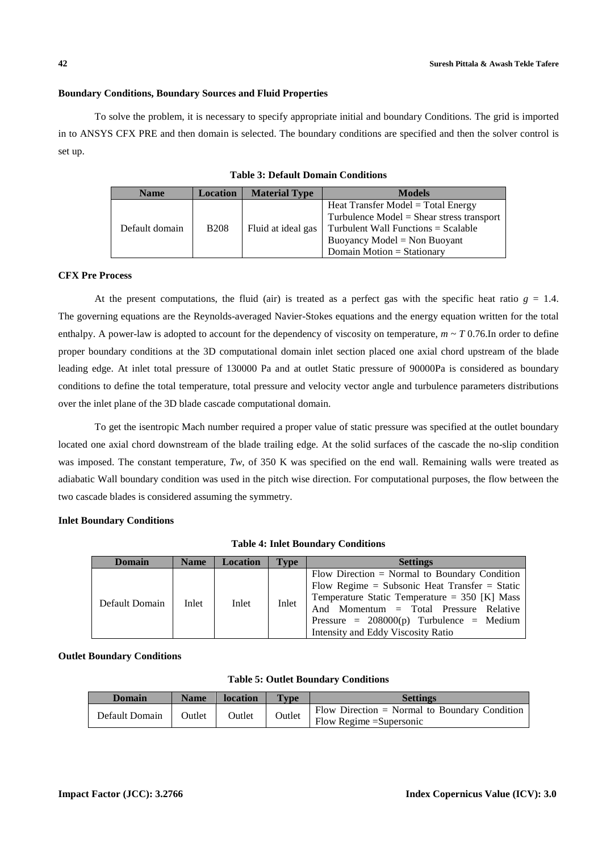# **Boundary Conditions, Boundary Sources and Fluid Properties**

To solve the problem, it is necessary to specify appropriate initial and boundary Conditions. The grid is imported in to ANSYS CFX PRE and then domain is selected. The boundary conditions are specified and then the solver control is set up.

| <b>Name</b>    | <b>Location</b> | <b>Material Type</b> | <b>Models</b>                                                                       |
|----------------|-----------------|----------------------|-------------------------------------------------------------------------------------|
|                |                 |                      | Heat Transfer Model $=$ Total Energy<br>Turbulence $Model = Shear stress transport$ |
| Default domain | <b>B208</b>     | Fluid at ideal gas   | Turbulent Wall Functions $=$ Scalable<br>Buoyancy Model = Non Buoyant               |
|                |                 |                      | Domain Motion = Stationary                                                          |

**Table 3: Default Domain Conditions** 

# **CFX Pre Process**

At the present computations, the fluid (air) is treated as a perfect gas with the specific heat ratio  $g = 1.4$ . The governing equations are the Reynolds-averaged Navier-Stokes equations and the energy equation written for the total enthalpy. A power-law is adopted to account for the dependency of viscosity on temperature,  $m \sim T$  0.76. In order to define proper boundary conditions at the 3D computational domain inlet section placed one axial chord upstream of the blade leading edge. At inlet total pressure of 130000 Pa and at outlet Static pressure of 90000Pa is considered as boundary conditions to define the total temperature, total pressure and velocity vector angle and turbulence parameters distributions over the inlet plane of the 3D blade cascade computational domain.

To get the isentropic Mach number required a proper value of static pressure was specified at the outlet boundary located one axial chord downstream of the blade trailing edge. At the solid surfaces of the cascade the no-slip condition was imposed. The constant temperature, T<sub>w</sub>, of 350 K was specified on the end wall. Remaining walls were treated as adiabatic Wall boundary condition was used in the pitch wise direction. For computational purposes, the flow between the two cascade blades is considered assuming the symmetry.

# **Inlet Boundary Conditions**

|  |  |  | <b>Table 4: Inlet Boundary Conditions</b> |
|--|--|--|-------------------------------------------|
|--|--|--|-------------------------------------------|

| <b>Domain</b>  | <b>Name</b> | <b>Location</b> | <b>Type</b> | <b>Settings</b>                                                                                                                                                                                                                                                                   |
|----------------|-------------|-----------------|-------------|-----------------------------------------------------------------------------------------------------------------------------------------------------------------------------------------------------------------------------------------------------------------------------------|
| Default Domain | Inlet       | Inlet           | Inlet       | Flow Direction $=$ Normal to Boundary Condition<br>Flow Regime = Subsonic Heat Transfer = Static<br>Temperature Static Temperature = $350$ [K] Mass<br>And Momentum = Total Pressure Relative<br>Pressure = $208000(p)$ Turbulence = Medium<br>Intensity and Eddy Viscosity Ratio |

**Outlet Boundary Conditions** 

|  |  |  | <b>Table 5: Outlet Boundary Conditions</b> |
|--|--|--|--------------------------------------------|
|--|--|--|--------------------------------------------|

| Domain         | <b>Name</b> | <b>location</b> | <b>Type</b> | <b>Settings</b>                                                             |
|----------------|-------------|-----------------|-------------|-----------------------------------------------------------------------------|
| Default Domain | Outlet      | Outlet          | Outlet      | Flow Direction $=$ Normal to Boundary Condition<br>Flow Regime = Supersonic |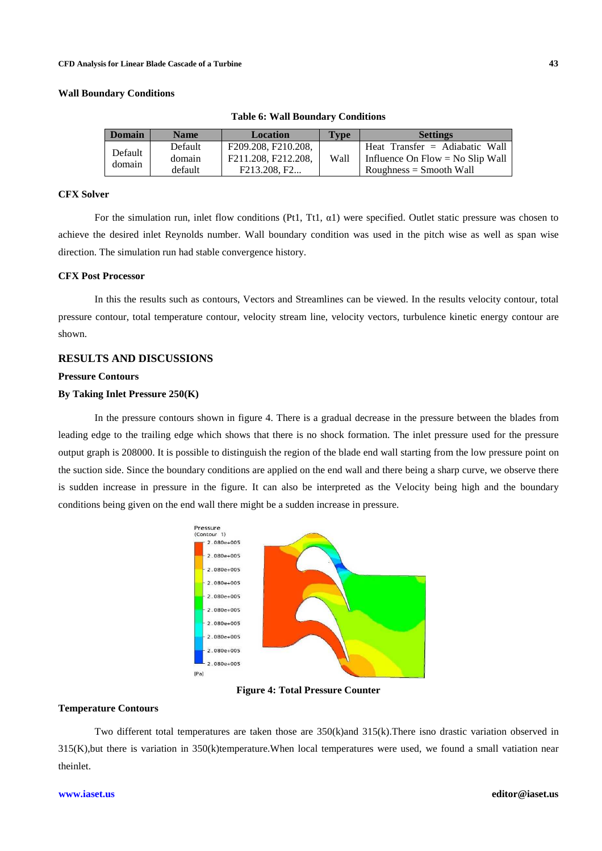### **Wall Boundary Conditions**

| <b>Domain</b> | <b>Name</b> | <b>Location</b>     | <b>Type</b> | <b>Settings</b>                  |
|---------------|-------------|---------------------|-------------|----------------------------------|
| Default       | Default     | F209.208, F210.208. |             | Heat Transfer $=$ Adiabatic Wall |
| domain        | domain      | F211.208, F212.208. | Wall        | Influence On Flow = No Slip Wall |
|               | default     | F213.208, F2        |             | $Roughness = Smooth Wall$        |

**Table 6: Wall Boundary Conditions** 

# **CFX Solver**

For the simulation run, inlet flow conditions (Pt1, Tt1,  $\alpha$ 1) were specified. Outlet static pressure was chosen to achieve the desired inlet Reynolds number. Wall boundary condition was used in the pitch wise as well as span wise direction. The simulation run had stable convergence history.

# **CFX Post Processor**

In this the results such as contours, Vectors and Streamlines can be viewed. In the results velocity contour, total pressure contour, total temperature contour, velocity stream line, velocity vectors, turbulence kinetic energy contour are shown.

# **RESULTS AND DISCUSSIONS**

#### **Pressure Contours**

# **By Taking Inlet Pressure 250(K)**

In the pressure contours shown in figure 4. There is a gradual decrease in the pressure between the blades from leading edge to the trailing edge which shows that there is no shock formation. The inlet pressure used for the pressure output graph is 208000. It is possible to distinguish the region of the blade end wall starting from the low pressure point on the suction side. Since the boundary conditions are applied on the end wall and there being a sharp curve, we observe there is sudden increase in pressure in the figure. It can also be interpreted as the Velocity being high and the boundary conditions being given on the end wall there might be a sudden increase in pressure.



**Figure 4: Total Pressure Counter** 

#### **Temperature Contours**

Two different total temperatures are taken those are 350(k)and 315(k).There isno drastic variation observed in 315(K),but there is variation in 350(k)temperature.When local temperatures were used, we found a small vatiation near theinlet.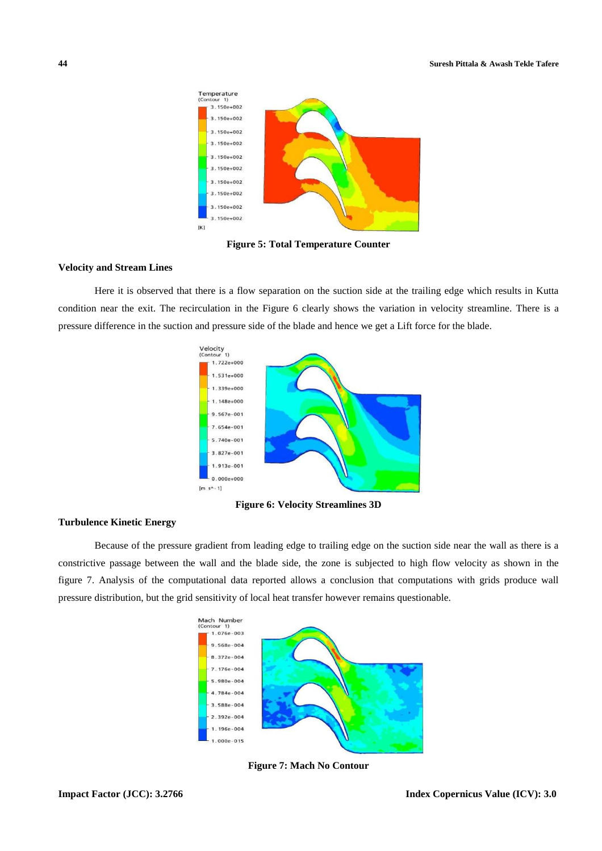

**Figure 5: Total Temperature Counter** 

## **Velocity and Stream Lines**

Here it is observed that there is a flow separation on the suction side at the trailing edge which results in Kutta condition near the exit. The recirculation in the Figure 6 clearly shows the variation in velocity streamline. There is a pressure difference in the suction and pressure side of the blade and hence we get a Lift force for the blade.



**Figure 6: Velocity Streamlines 3D** 

# **Turbulence Kinetic Energy**

Because of the pressure gradient from leading edge to trailing edge on the suction side near the wall as there is a constrictive passage between the wall and the blade side, the zone is subjected to high flow velocity as shown in the figure 7. Analysis of the computational data reported allows a conclusion that computations with grids produce wall pressure distribution, but the grid sensitivity of local heat transfer however remains questionable.



**Figure 7: Mach No Contour**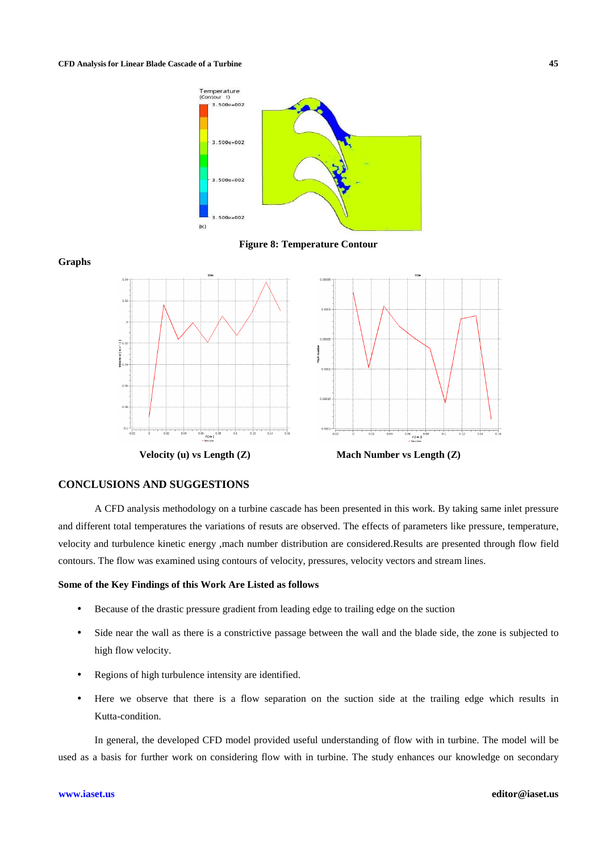

**Figure 8: Temperature Contour** 





 **Velocity (u) vs Length (Z) Mach Number vs Length (Z)** 

# **CONCLUSIONS AND SUGGESTIONS**

A CFD analysis methodology on a turbine cascade has been presented in this work. By taking same inlet pressure and different total temperatures the variations of resuts are observed. The effects of parameters like pressure, temperature, velocity and turbulence kinetic energy ,mach number distribution are considered.Results are presented through flow field contours. The flow was examined using contours of velocity, pressures, velocity vectors and stream lines.

# **Some of the Key Findings of this Work Are Listed as follows**

- Because of the drastic pressure gradient from leading edge to trailing edge on the suction
- Side near the wall as there is a constrictive passage between the wall and the blade side, the zone is subjected to high flow velocity.
- Regions of high turbulence intensity are identified.
- Here we observe that there is a flow separation on the suction side at the trailing edge which results in Kutta-condition.

In general, the developed CFD model provided useful understanding of flow with in turbine. The model will be used as a basis for further work on considering flow with in turbine. The study enhances our knowledge on secondary